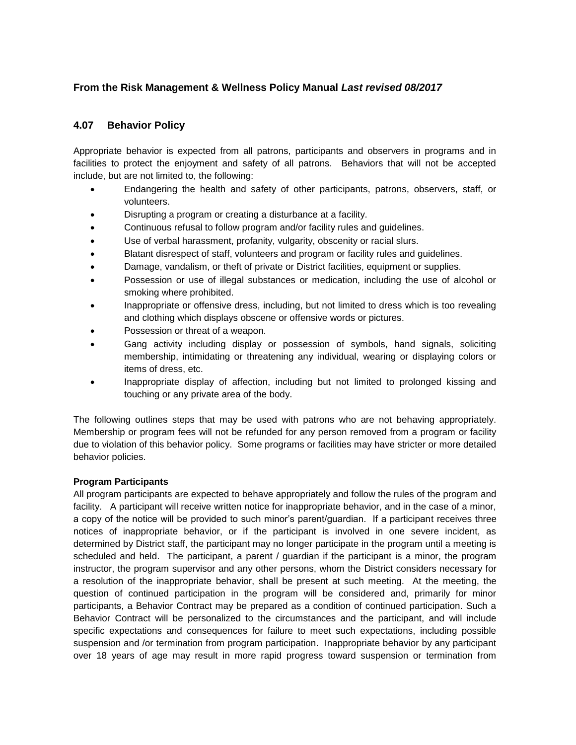# **From the Risk Management & Wellness Policy Manual** *Last revised 08/2017*

## **4.07 Behavior Policy**

Appropriate behavior is expected from all patrons, participants and observers in programs and in facilities to protect the enjoyment and safety of all patrons. Behaviors that will not be accepted include, but are not limited to, the following:

- Endangering the health and safety of other participants, patrons, observers, staff, or volunteers.
- Disrupting a program or creating a disturbance at a facility.
- Continuous refusal to follow program and/or facility rules and guidelines.
- Use of verbal harassment, profanity, vulgarity, obscenity or racial slurs.
- Blatant disrespect of staff, volunteers and program or facility rules and guidelines.
- Damage, vandalism, or theft of private or District facilities, equipment or supplies.
- Possession or use of illegal substances or medication, including the use of alcohol or smoking where prohibited.
- Inappropriate or offensive dress, including, but not limited to dress which is too revealing and clothing which displays obscene or offensive words or pictures.
- Possession or threat of a weapon.
- Gang activity including display or possession of symbols, hand signals, soliciting membership, intimidating or threatening any individual, wearing or displaying colors or items of dress, etc.
- Inappropriate display of affection, including but not limited to prolonged kissing and touching or any private area of the body.

The following outlines steps that may be used with patrons who are not behaving appropriately. Membership or program fees will not be refunded for any person removed from a program or facility due to violation of this behavior policy. Some programs or facilities may have stricter or more detailed behavior policies.

### **Program Participants**

All program participants are expected to behave appropriately and follow the rules of the program and facility. A participant will receive written notice for inappropriate behavior, and in the case of a minor, a copy of the notice will be provided to such minor's parent/guardian. If a participant receives three notices of inappropriate behavior, or if the participant is involved in one severe incident, as determined by District staff, the participant may no longer participate in the program until a meeting is scheduled and held. The participant, a parent / guardian if the participant is a minor, the program instructor, the program supervisor and any other persons, whom the District considers necessary for a resolution of the inappropriate behavior, shall be present at such meeting. At the meeting, the question of continued participation in the program will be considered and, primarily for minor participants, a Behavior Contract may be prepared as a condition of continued participation. Such a Behavior Contract will be personalized to the circumstances and the participant, and will include specific expectations and consequences for failure to meet such expectations, including possible suspension and /or termination from program participation. Inappropriate behavior by any participant over 18 years of age may result in more rapid progress toward suspension or termination from